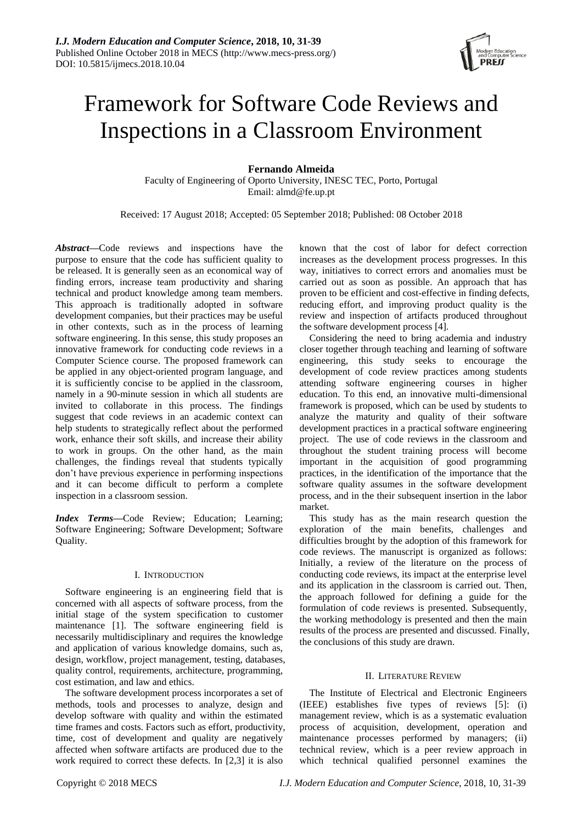

# Framework for Software Code Reviews and Inspections in a Classroom Environment

# **Fernando Almeida**

Faculty of Engineering of Oporto University, INESC TEC, Porto, Portugal Email: almd@fe.up.pt

Received: 17 August 2018; Accepted: 05 September 2018; Published: 08 October 2018

*Abstract***—**Code reviews and inspections have the purpose to ensure that the code has sufficient quality to be released. It is generally seen as an economical way of finding errors, increase team productivity and sharing technical and product knowledge among team members. This approach is traditionally adopted in software development companies, but their practices may be useful in other contexts, such as in the process of learning software engineering. In this sense, this study proposes an innovative framework for conducting code reviews in a Computer Science course. The proposed framework can be applied in any object-oriented program language, and it is sufficiently concise to be applied in the classroom, namely in a 90-minute session in which all students are invited to collaborate in this process. The findings suggest that code reviews in an academic context can help students to strategically reflect about the performed work, enhance their soft skills, and increase their ability to work in groups. On the other hand, as the main challenges, the findings reveal that students typically don't have previous experience in performing inspections and it can become difficult to perform a complete inspection in a classroom session.

*Index Terms***—**Code Review; Education; Learning; Software Engineering; Software Development; Software Quality.

# I. INTRODUCTION

Software engineering is an engineering field that is concerned with all aspects of software process, from the initial stage of the system specification to customer maintenance [1]. The software engineering field is necessarily multidisciplinary and requires the knowledge and application of various knowledge domains, such as, design, workflow, project management, testing, databases, quality control, requirements, architecture, programming, cost estimation, and law and ethics.

The software development process incorporates a set of methods, tools and processes to analyze, design and develop software with quality and within the estimated time frames and costs. Factors such as effort, productivity, time, cost of development and quality are negatively affected when software artifacts are produced due to the work required to correct these defects. In [2,3] it is also

known that the cost of labor for defect correction increases as the development process progresses. In this way, initiatives to correct errors and anomalies must be carried out as soon as possible. An approach that has proven to be efficient and cost-effective in finding defects, reducing effort, and improving product quality is the review and inspection of artifacts produced throughout the software development process [4].

Considering the need to bring academia and industry closer together through teaching and learning of software engineering, this study seeks to encourage the development of code review practices among students attending software engineering courses in higher education. To this end, an innovative multi-dimensional framework is proposed, which can be used by students to analyze the maturity and quality of their software development practices in a practical software engineering project. The use of code reviews in the classroom and throughout the student training process will become important in the acquisition of good programming practices, in the identification of the importance that the software quality assumes in the software development process, and in the their subsequent insertion in the labor market.

This study has as the main research question the exploration of the main benefits, challenges and difficulties brought by the adoption of this framework for code reviews. The manuscript is organized as follows: Initially, a review of the literature on the process of conducting code reviews, its impact at the enterprise level and its application in the classroom is carried out. Then, the approach followed for defining a guide for the formulation of code reviews is presented. Subsequently, the working methodology is presented and then the main results of the process are presented and discussed. Finally, the conclusions of this study are drawn.

# II. LITERATURE REVIEW

The Institute of Electrical and Electronic Engineers (IEEE) establishes five types of reviews [5]: (i) management review, which is as a systematic evaluation process of acquisition, development, operation and maintenance processes performed by managers; (ii) technical review, which is a peer review approach in which technical qualified personnel examines the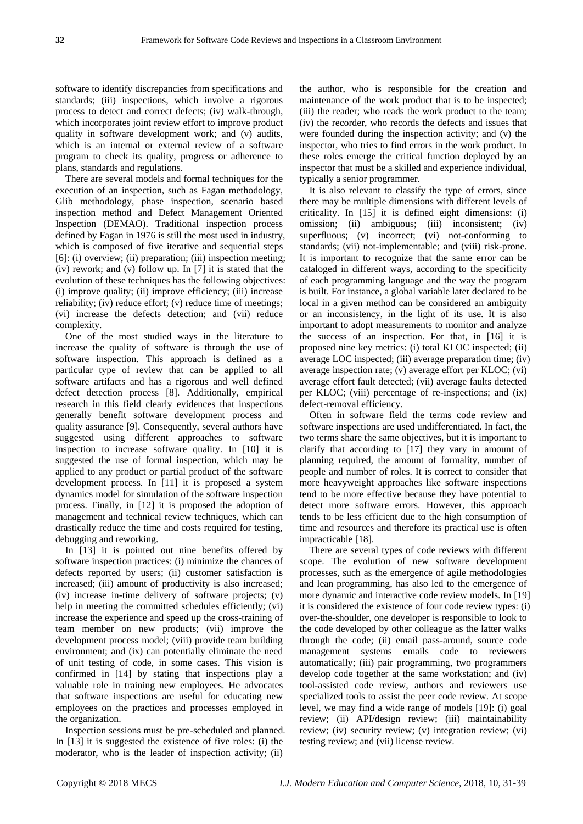software to identify discrepancies from specifications and standards; (iii) inspections, which involve a rigorous process to detect and correct defects; (iv) walk-through, which incorporates joint review effort to improve product quality in software development work; and (v) audits, which is an internal or external review of a software program to check its quality, progress or adherence to plans, standards and regulations.

There are several models and formal techniques for the execution of an inspection, such as Fagan methodology, Glib methodology, phase inspection, scenario based inspection method and Defect Management Oriented Inspection (DEMAO). Traditional inspection process defined by Fagan in 1976 is still the most used in industry, which is composed of five iterative and sequential steps [6]: (i) overview; (ii) preparation; (iii) inspection meeting; (iv) rework; and (v) follow up. In [7] it is stated that the evolution of these techniques has the following objectives: (i) improve quality; (ii) improve efficiency; (iii) increase reliability; (iv) reduce effort; (v) reduce time of meetings; (vi) increase the defects detection; and (vii) reduce complexity.

One of the most studied ways in the literature to increase the quality of software is through the use of software inspection. This approach is defined as a particular type of review that can be applied to all software artifacts and has a rigorous and well defined defect detection process [8]. Additionally, empirical research in this field clearly evidences that inspections generally benefit software development process and quality assurance [9]. Consequently, several authors have suggested using different approaches to software inspection to increase software quality. In [10] it is suggested the use of formal inspection, which may be applied to any product or partial product of the software development process. In [11] it is proposed a system dynamics model for simulation of the software inspection process. Finally, in [12] it is proposed the adoption of management and technical review techniques, which can drastically reduce the time and costs required for testing, debugging and reworking.

In [13] it is pointed out nine benefits offered by software inspection practices: (i) minimize the chances of defects reported by users; (ii) customer satisfaction is increased; (iii) amount of productivity is also increased; (iv) increase in-time delivery of software projects; (v) help in meeting the committed schedules efficiently; (vi) increase the experience and speed up the cross-training of team member on new products; (vii) improve the development process model; (viii) provide team building environment; and (ix) can potentially eliminate the need of unit testing of code, in some cases. This vision is confirmed in [14] by stating that inspections play a valuable role in training new employees. He advocates that software inspections are useful for educating new employees on the practices and processes employed in the organization.

Inspection sessions must be pre-scheduled and planned. In [13] it is suggested the existence of five roles: (i) the moderator, who is the leader of inspection activity; (ii)

the author, who is responsible for the creation and maintenance of the work product that is to be inspected; (iii) the reader; who reads the work product to the team; (iv) the recorder, who records the defects and issues that were founded during the inspection activity; and (v) the inspector, who tries to find errors in the work product. In these roles emerge the critical function deployed by an inspector that must be a skilled and experience individual, typically a senior programmer.

It is also relevant to classify the type of errors, since there may be multiple dimensions with different levels of criticality. In [15] it is defined eight dimensions: (i) omission; (ii) ambiguous; (iii) inconsistent; (iv) superfluous; (v) incorrect; (vi) not-conforming to standards; (vii) not-implementable; and (viii) risk-prone. It is important to recognize that the same error can be cataloged in different ways, according to the specificity of each programming language and the way the program is built. For instance, a global variable later declared to be local in a given method can be considered an ambiguity or an inconsistency, in the light of its use. It is also important to adopt measurements to monitor and analyze the success of an inspection. For that, in [16] it is proposed nine key metrics: (i) total KLOC inspected; (ii) average LOC inspected; (iii) average preparation time; (iv) average inspection rate; (v) average effort per KLOC; (vi) average effort fault detected; (vii) average faults detected per KLOC; (viii) percentage of re-inspections; and (ix) defect-removal efficiency.

Often in software field the terms code review and software inspections are used undifferentiated. In fact, the two terms share the same objectives, but it is important to clarify that according to [17] they vary in amount of planning required, the amount of formality, number of people and number of roles. It is correct to consider that more heavyweight approaches like software inspections tend to be more effective because they have potential to detect more software errors. However, this approach tends to be less efficient due to the high consumption of time and resources and therefore its practical use is often impracticable [18].

There are several types of code reviews with different scope. The evolution of new software development processes, such as the emergence of agile methodologies and lean programming, has also led to the emergence of more dynamic and interactive code review models. In [19] it is considered the existence of four code review types: (i) over-the-shoulder, one developer is responsible to look to the code developed by other colleague as the latter walks through the code; (ii) email pass-around, source code management systems emails code to reviewers automatically; (iii) pair programming, two programmers develop code together at the same workstation; and (iv) tool-assisted code review, authors and reviewers use specialized tools to assist the peer code review. At scope level, we may find a wide range of models [19]: (i) goal review; (ii) API/design review; (iii) maintainability review; (iv) security review; (v) integration review; (vi) testing review; and (vii) license review.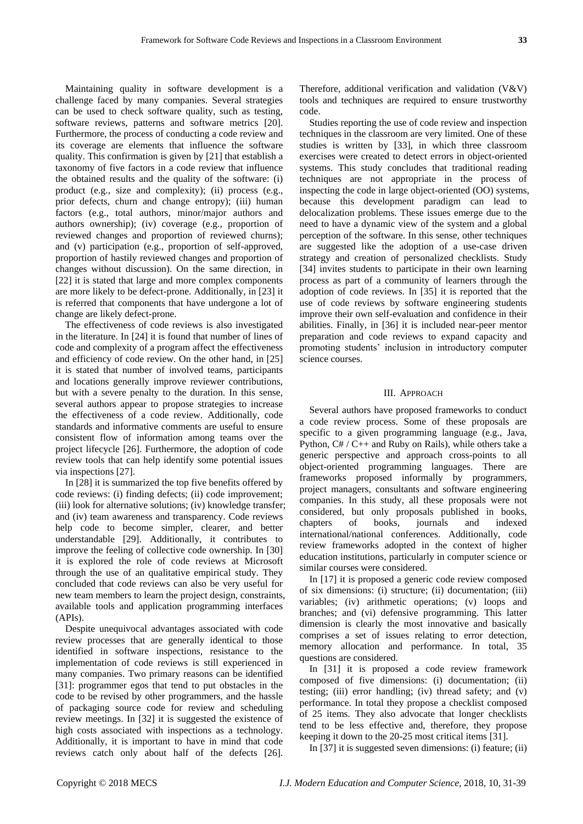Maintaining quality in software development is a challenge faced by many companies. Several strategies can be used to check software quality, such as testing, software reviews, patterns and software metrics [20]. Furthermore, the process of conducting a code review and its coverage are elements that influence the software quality. This confirmation is given by [21] that establish a taxonomy of five factors in a code review that influence the obtained results and the quality of the software: (i) product (e.g., size and complexity); (ii) process (e.g., prior defects, churn and change entropy); (iii) human factors (e.g., total authors, minor/major authors and authors ownership); (iv) coverage (e.g., proportion of reviewed changes and proportion of reviewed churns); and (v) participation (e.g., proportion of self-approved, proportion of hastily reviewed changes and proportion of changes without discussion). On the same direction, in [22] it is stated that large and more complex components are more likely to be defect-prone. Additionally, in [23] it is referred that components that have undergone a lot of change are likely defect-prone.

The effectiveness of code reviews is also investigated in the literature. In [24] it is found that number of lines of code and complexity of a program affect the effectiveness and efficiency of code review. On the other hand, in [25] it is stated that number of involved teams, participants and locations generally improve reviewer contributions, but with a severe penalty to the duration. In this sense, several authors appear to propose strategies to increase the effectiveness of a code review. Additionally, code standards and informative comments are useful to ensure consistent flow of information among teams over the project lifecycle [26]. Furthermore, the adoption of code review tools that can help identify some potential issues via inspections [27].

In [28] it is summarized the top five benefits offered by code reviews: (i) finding defects; (ii) code improvement; (iii) look for alternative solutions; (iv) knowledge transfer; and (iv) team awareness and transparency. Code reviews help code to become simpler, clearer, and better understandable [29]. Additionally, it contributes to improve the feeling of collective code ownership. In [30] it is explored the role of code reviews at Microsoft through the use of an qualitative empirical study. They concluded that code reviews can also be very useful for new team members to learn the project design, constraints, available tools and application programming interfaces (APIs).

Despite unequivocal advantages associated with code review processes that are generally identical to those identified in software inspections, resistance to the implementation of code reviews is still experienced in many companies. Two primary reasons can be identified [31]: programmer egos that tend to put obstacles in the code to be revised by other programmers, and the hassle of packaging source code for review and scheduling review meetings. In [32] it is suggested the existence of high costs associated with inspections as a technology. Additionally, it is important to have in mind that code reviews catch only about half of the defects [26].

Therefore, additional verification and validation (V&V) tools and techniques are required to ensure trustworthy code.

Studies reporting the use of code review and inspection techniques in the classroom are very limited. One of these studies is written by [33], in which three classroom exercises were created to detect errors in object-oriented systems. This study concludes that traditional reading techniques are not appropriate in the process of inspecting the code in large object-oriented (OO) systems, because this development paradigm can lead to delocalization problems. These issues emerge due to the need to have a dynamic view of the system and a global perception of the software. In this sense, other techniques are suggested like the adoption of a use-case driven strategy and creation of personalized checklists. Study [34] invites students to participate in their own learning process as part of a community of learners through the adoption of code reviews. In [35] it is reported that the use of code reviews by software engineering students improve their own self-evaluation and confidence in their abilities. Finally, in [36] it is included near-peer mentor preparation and code reviews to expand capacity and promoting students' inclusion in introductory computer science courses.

#### III. APPROACH

Several authors have proposed frameworks to conduct a code review process. Some of these proposals are specific to a given programming language (e.g., Java, Python, C# / C++ and Ruby on Rails), while others take a generic perspective and approach cross-points to all object-oriented programming languages. There are frameworks proposed informally by programmers, project managers, consultants and software engineering companies. In this study, all these proposals were not considered, but only proposals published in books, chapters of books, journals and indexed international/national conferences. Additionally, code review frameworks adopted in the context of higher education institutions, particularly in computer science or similar courses were considered.

In [17] it is proposed a generic code review composed of six dimensions: (i) structure; (ii) documentation; (iii) variables; (iv) arithmetic operations; (v) loops and branches; and (vi) defensive programming. This latter dimension is clearly the most innovative and basically comprises a set of issues relating to error detection, memory allocation and performance. In total, 35 questions are considered.

In [31] it is proposed a code review framework composed of five dimensions: (i) documentation; (ii) testing; (iii) error handling; (iv) thread safety; and (v) performance. In total they propose a checklist composed of 25 items. They also advocate that longer checklists tend to be less effective and, therefore, they propose keeping it down to the 20-25 most critical items [31].

In [37] it is suggested seven dimensions: (i) feature; (ii)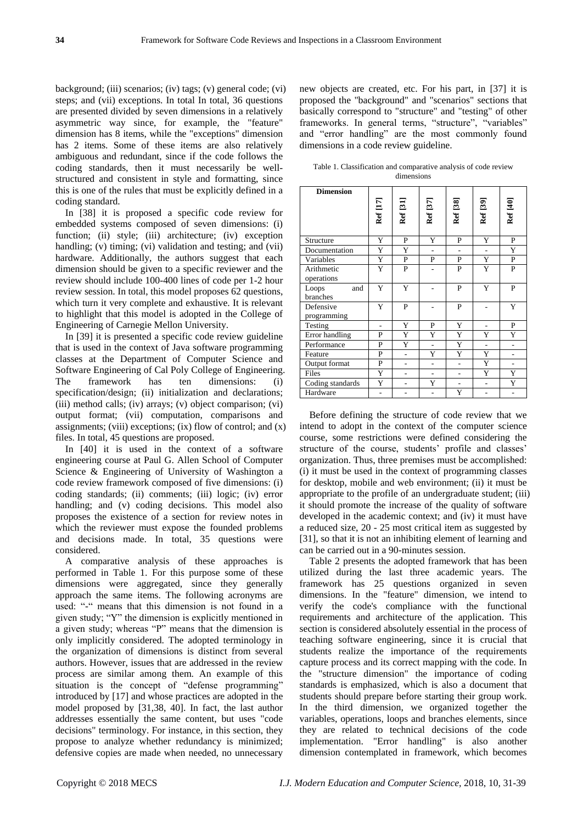background; (iii) scenarios; (iv) tags; (v) general code; (vi) steps; and (vii) exceptions. In total In total, 36 questions are presented divided by seven dimensions in a relatively asymmetric way since, for example, the "feature" dimension has 8 items, while the "exceptions" dimension has 2 items. Some of these items are also relatively ambiguous and redundant, since if the code follows the coding standards, then it must necessarily be wellstructured and consistent in style and formatting, since this is one of the rules that must be explicitly defined in a coding standard.

In [38] it is proposed a specific code review for embedded systems composed of seven dimensions: (i) function; (ii) style; (iii) architecture; (iv) exception handling; (v) timing; (vi) validation and testing; and (vii) hardware. Additionally, the authors suggest that each dimension should be given to a specific reviewer and the review should include 100-400 lines of code per 1-2 hour review session. In total, this model proposes 62 questions, which turn it very complete and exhaustive. It is relevant to highlight that this model is adopted in the College of Engineering of Carnegie Mellon University.

In [39] it is presented a specific code review guideline that is used in the context of Java software programming classes at the Department of Computer Science and Software Engineering of Cal Poly College of Engineering. The framework has ten dimensions: (i) specification/design; (ii) initialization and declarations; (iii) method calls; (iv) arrays; (v) object comparison; (vi) output format; (vii) computation, comparisons and assignments; (viii) exceptions; (ix) flow of control; and  $(x)$ files. In total, 45 questions are proposed.

In [40] it is used in the context of a software engineering course at Paul G. Allen School of Computer Science & Engineering of University of Washington a code review framework composed of five dimensions: (i) coding standards; (ii) comments; (iii) logic; (iv) error handling; and (v) coding decisions. This model also proposes the existence of a section for review notes in which the reviewer must expose the founded problems and decisions made. In total, 35 questions were considered.

A comparative analysis of these approaches is performed in Table 1. For this purpose some of these dimensions were aggregated, since they generally approach the same items. The following acronyms are used: "-" means that this dimension is not found in a given study; "Y" the dimension is explicitly mentioned in a given study; whereas "P" means that the dimension is only implicitly considered. The adopted terminology in the organization of dimensions is distinct from several authors. However, issues that are addressed in the review process are similar among them. An example of this situation is the concept of "defense programming" introduced by [17] and whose practices are adopted in the model proposed by [31,38, 40]. In fact, the last author addresses essentially the same content, but uses "code decisions" terminology. For instance, in this section, they propose to analyze whether redundancy is minimized; defensive copies are made when needed, no unnecessary

new objects are created, etc. For his part, in [37] it is proposed the "background" and "scenarios" sections that basically correspond to "structure" and "testing" of other frameworks. In general terms, "structure", "variables" and "error handling" are the most commonly found dimensions in a code review guideline.

Table 1. Classification and comparative analysis of code review dimensions

| <b>Dimension</b>         | Ref [17] | Ref [31]       | Ref [37]       | Ref [38]       | Ref [39]       | Ref [40]     |
|--------------------------|----------|----------------|----------------|----------------|----------------|--------------|
|                          |          |                |                |                |                |              |
| Structure                | Y        | P              | Y              | P              | Y              | P            |
| Documentation            | Y        | Y              | L.             | $\overline{a}$ | $\overline{a}$ | Y            |
| Variables                | Y        | $\mathbf{P}$   | P              | P              | Y              | ${\bf P}$    |
| Arithmetic<br>operations | Y        | $\mathbf{P}$   |                | $\mathbf{P}$   | $\overline{Y}$ | $\mathbf{P}$ |
| Loops<br>and<br>branches | Y        | Y              |                | P              | Y              | P            |
| Defensive<br>programming | Y        | P              |                | $\mathbf{P}$   |                | Y            |
| Testing                  |          | Y              | P              | Y              |                | ${\bf P}$    |
| Error handling           | P        | Y              | Y              | Y              | Y              | Y            |
| Performance              | P        | Y              | $\overline{a}$ | Y              | $\overline{a}$ |              |
| Feature                  | P        | $\overline{a}$ | Y              | Y              | Y              |              |
| Output format            | P        |                |                | ÷,             | Y              |              |
| Files                    | Y        |                |                | $\overline{a}$ | Y              | Y            |
| Coding standards         | Y        |                | Y              | $\overline{a}$ | $\overline{a}$ | Y            |
| Hardware                 |          |                |                | Y              |                |              |

Before defining the structure of code review that we intend to adopt in the context of the computer science course, some restrictions were defined considering the structure of the course, students' profile and classes' organization. Thus, three premises must be accomplished: (i) it must be used in the context of programming classes for desktop, mobile and web environment; (ii) it must be appropriate to the profile of an undergraduate student; (iii) it should promote the increase of the quality of software developed in the academic context; and (iv) it must have a reduced size, 20 - 25 most critical item as suggested by [31], so that it is not an inhibiting element of learning and can be carried out in a 90-minutes session.

Table 2 presents the adopted framework that has been utilized during the last three academic years. The framework has 25 questions organized in seven dimensions. In the "feature" dimension, we intend to verify the code's compliance with the functional requirements and architecture of the application. This section is considered absolutely essential in the process of teaching software engineering, since it is crucial that students realize the importance of the requirements capture process and its correct mapping with the code. In the "structure dimension" the importance of coding standards is emphasized, which is also a document that students should prepare before starting their group work. In the third dimension, we organized together the variables, operations, loops and branches elements, since they are related to technical decisions of the code implementation. "Error handling" is also another dimension contemplated in framework, which becomes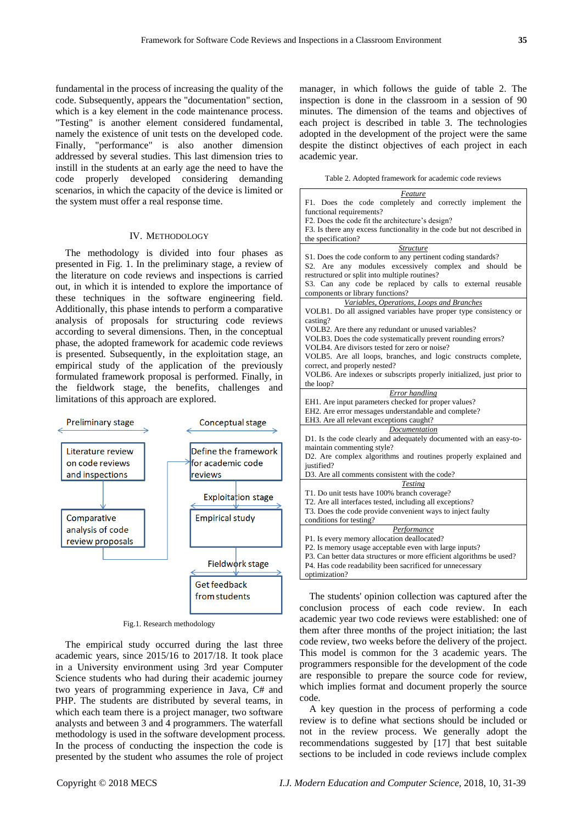fundamental in the process of increasing the quality of the code. Subsequently, appears the "documentation" section, which is a key element in the code maintenance process. "Testing" is another element considered fundamental, namely the existence of unit tests on the developed code. Finally, "performance" is also another dimension addressed by several studies. This last dimension tries to instill in the students at an early age the need to have the code properly developed considering demanding scenarios, in which the capacity of the device is limited or the system must offer a real response time.

#### IV. METHODOLOGY

The methodology is divided into four phases as presented in Fig. 1. In the preliminary stage, a review of the literature on code reviews and inspections is carried out, in which it is intended to explore the importance of these techniques in the software engineering field. Additionally, this phase intends to perform a comparative analysis of proposals for structuring code reviews according to several dimensions. Then, in the conceptual phase, the adopted framework for academic code reviews is presented. Subsequently, in the exploitation stage, an empirical study of the application of the previously formulated framework proposal is performed. Finally, in the fieldwork stage, the benefits, challenges and limitations of this approach are explored.



Fig.1. Research methodology

The empirical study occurred during the last three academic years, since 2015/16 to 2017/18. It took place in a University environment using 3rd year Computer Science students who had during their academic journey two years of programming experience in Java, C# and PHP. The students are distributed by several teams, in which each team there is a project manager, two software analysts and between 3 and 4 programmers. The waterfall methodology is used in the software development process. In the process of conducting the inspection the code is presented by the student who assumes the role of project

manager, in which follows the guide of table 2. The inspection is done in the classroom in a session of 90 minutes. The dimension of the teams and objectives of each project is described in table 3. The technologies adopted in the development of the project were the same despite the distinct objectives of each project in each academic year.

Table 2. Adopted framework for academic code reviews

| Feature                                                                |  |  |  |  |  |
|------------------------------------------------------------------------|--|--|--|--|--|
| F1. Does the code completely and correctly implement the               |  |  |  |  |  |
| functional requirements?                                               |  |  |  |  |  |
| F2. Does the code fit the architecture's design?                       |  |  |  |  |  |
| F3. Is there any excess functionality in the code but not described in |  |  |  |  |  |
| the specification?                                                     |  |  |  |  |  |
| <i><u><b>Structure</b></u></i>                                         |  |  |  |  |  |
| S1. Does the code conform to any pertinent coding standards?           |  |  |  |  |  |
| S2. Are any modules excessively complex and<br>should<br>be            |  |  |  |  |  |
| restructured or split into multiple routines?                          |  |  |  |  |  |
| S3. Can any code be replaced by calls to external reusable             |  |  |  |  |  |
| components or library functions?                                       |  |  |  |  |  |
| Variables, Operations, Loops and Branches                              |  |  |  |  |  |
| VOLB1. Do all assigned variables have proper type consistency or       |  |  |  |  |  |
| casting?                                                               |  |  |  |  |  |
| VOLB2. Are there any redundant or unused variables?                    |  |  |  |  |  |
| VOLB3. Does the code systematically prevent rounding errors?           |  |  |  |  |  |
| VOLB4. Are divisors tested for zero or noise?                          |  |  |  |  |  |
| VOLB5. Are all loops, branches, and logic constructs complete,         |  |  |  |  |  |
| correct, and properly nested?                                          |  |  |  |  |  |
| VOLB6. Are indexes or subscripts properly initialized, just prior to   |  |  |  |  |  |
| the loop?                                                              |  |  |  |  |  |
| Error handling                                                         |  |  |  |  |  |
| EH1. Are input parameters checked for proper values?                   |  |  |  |  |  |
| EH2. Are error messages understandable and complete?                   |  |  |  |  |  |
| EH3. Are all relevant exceptions caught?                               |  |  |  |  |  |
| Documentation                                                          |  |  |  |  |  |
| D1. Is the code clearly and adequately documented with an easy-to-     |  |  |  |  |  |
| maintain commenting style?                                             |  |  |  |  |  |
| D2. Are complex algorithms and routines properly explained and         |  |  |  |  |  |
| justified?                                                             |  |  |  |  |  |
| D3. Are all comments consistent with the code?                         |  |  |  |  |  |
| <b>Testing</b>                                                         |  |  |  |  |  |
| T1. Do unit tests have 100% branch coverage?                           |  |  |  |  |  |
| T2. Are all interfaces tested, including all exceptions?               |  |  |  |  |  |
| T3. Does the code provide convenient ways to inject faulty             |  |  |  |  |  |
| conditions for testing?                                                |  |  |  |  |  |
| Performance                                                            |  |  |  |  |  |
| P1. Is every memory allocation deallocated?                            |  |  |  |  |  |
| P2. Is memory usage acceptable even with large inputs?                 |  |  |  |  |  |
| P3. Can better data structures or more efficient algorithms be used?   |  |  |  |  |  |
| P4. Has code readability been sacrificed for unnecessary               |  |  |  |  |  |
|                                                                        |  |  |  |  |  |
| optimization?                                                          |  |  |  |  |  |

The students' opinion collection was captured after the conclusion process of each code review. In each academic year two code reviews were established: one of them after three months of the project initiation; the last code review, two weeks before the delivery of the project. This model is common for the 3 academic years. The programmers responsible for the development of the code are responsible to prepare the source code for review, which implies format and document properly the source code.

A key question in the process of performing a code review is to define what sections should be included or not in the review process. We generally adopt the recommendations suggested by [17] that best suitable sections to be included in code reviews include complex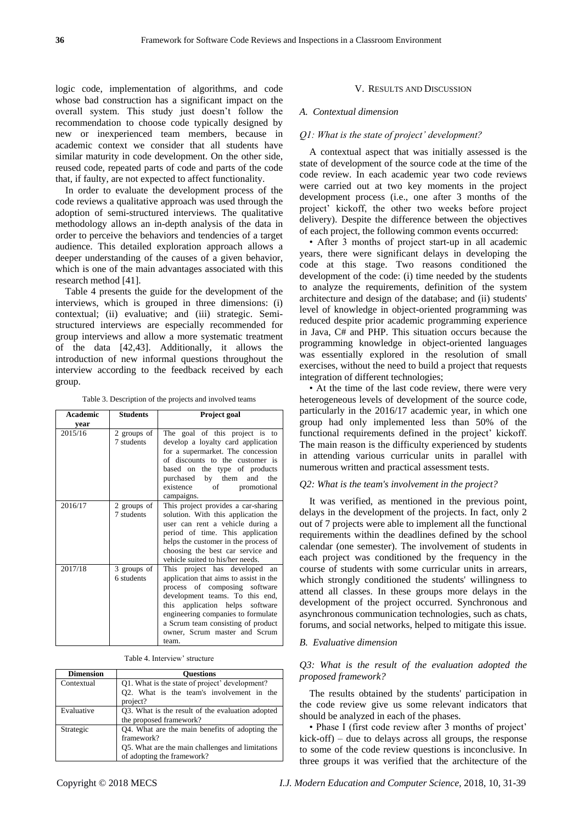logic code, implementation of algorithms, and code whose bad construction has a significant impact on the overall system. This study just doesn't follow the recommendation to choose code typically designed by new or inexperienced team members, because in academic context we consider that all students have similar maturity in code development. On the other side, reused code, repeated parts of code and parts of the code that, if faulty, are not expected to affect functionality.

In order to evaluate the development process of the code reviews a qualitative approach was used through the adoption of semi-structured interviews. The qualitative methodology allows an in-depth analysis of the data in order to perceive the behaviors and tendencies of a target audience. This detailed exploration approach allows a deeper understanding of the causes of a given behavior, which is one of the main advantages associated with this research method [41].

Table 4 presents the guide for the development of the interviews, which is grouped in three dimensions: (i) contextual; (ii) evaluative; and (iii) strategic. Semistructured interviews are especially recommended for group interviews and allow a more systematic treatment of the data [42,43]. Additionally, it allows the introduction of new informal questions throughout the interview according to the feedback received by each group.

Table 3. Description of the projects and involved teams

| <b>Academic</b> | <b>Students</b>           | Project goal                                                                                                                                                                                                                                                                                            |
|-----------------|---------------------------|---------------------------------------------------------------------------------------------------------------------------------------------------------------------------------------------------------------------------------------------------------------------------------------------------------|
| vear            |                           |                                                                                                                                                                                                                                                                                                         |
| 2015/16         | 2 groups of<br>7 students | The goal of this project is to<br>develop a loyalty card application<br>for a supermarket. The concession<br>of discounts to the customer is<br>based on the type of products<br>purchased by them and the<br>existence of<br>promotional<br>campaigns.                                                 |
| 2016/17         | 2 groups of<br>7 students | This project provides a car-sharing<br>solution. With this application the<br>user can rent a vehicle during a<br>period of time. This application<br>helps the customer in the process of<br>choosing the best car service and<br>vehicle suited to his/her needs.                                     |
| 2017/18         | 3 groups of<br>6 students | This project has developed an<br>application that aims to assist in the<br>process of composing software<br>development teams. To this end,<br>application helps software<br>this<br>engineering companies to formulate<br>a Scrum team consisting of product<br>owner, Scrum master and Scrum<br>team. |

Table 4. Interview' structure

| <b>Dimension</b> | <b>Ouestions</b>                                 |  |  |  |  |
|------------------|--------------------------------------------------|--|--|--|--|
| Contextual       | Q1. What is the state of project' development?   |  |  |  |  |
|                  | Q2. What is the team's involvement in the        |  |  |  |  |
|                  | project?                                         |  |  |  |  |
| Evaluative       | Q3. What is the result of the evaluation adopted |  |  |  |  |
|                  | the proposed framework?                          |  |  |  |  |
| Strategic        | Q4. What are the main benefits of adopting the   |  |  |  |  |
|                  | framework?                                       |  |  |  |  |
|                  | Q5. What are the main challenges and limitations |  |  |  |  |
|                  | of adopting the framework?                       |  |  |  |  |

#### V. RESULTS AND DISCUSSION

#### *A. Contextual dimension*

#### *Q1: What is the state of project' development?*

A contextual aspect that was initially assessed is the state of development of the source code at the time of the code review. In each academic year two code reviews were carried out at two key moments in the project development process (i.e., one after 3 months of the project' kickoff, the other two weeks before project delivery). Despite the difference between the objectives of each project, the following common events occurred:

• After 3 months of project start-up in all academic years, there were significant delays in developing the code at this stage. Two reasons conditioned the development of the code: (i) time needed by the students to analyze the requirements, definition of the system architecture and design of the database; and (ii) students' level of knowledge in object-oriented programming was reduced despite prior academic programming experience in Java, C# and PHP. This situation occurs because the programming knowledge in object-oriented languages was essentially explored in the resolution of small exercises, without the need to build a project that requests integration of different technologies;

• At the time of the last code review, there were very heterogeneous levels of development of the source code, particularly in the 2016/17 academic year, in which one group had only implemented less than 50% of the functional requirements defined in the project' kickoff. The main reason is the difficulty experienced by students in attending various curricular units in parallel with numerous written and practical assessment tests.

#### *Q2: What is the team's involvement in the project?*

It was verified, as mentioned in the previous point, delays in the development of the projects. In fact, only 2 out of 7 projects were able to implement all the functional requirements within the deadlines defined by the school calendar (one semester). The involvement of students in each project was conditioned by the frequency in the course of students with some curricular units in arrears, which strongly conditioned the students' willingness to attend all classes. In these groups more delays in the development of the project occurred. Synchronous and asynchronous communication technologies, such as chats, forums, and social networks, helped to mitigate this issue.

# *B. Evaluative dimension*

# *Q3: What is the result of the evaluation adopted the proposed framework?*

The results obtained by the students' participation in the code review give us some relevant indicators that should be analyzed in each of the phases.

• Phase I (first code review after 3 months of project' kick-off) – due to delays across all groups, the response to some of the code review questions is inconclusive. In three groups it was verified that the architecture of the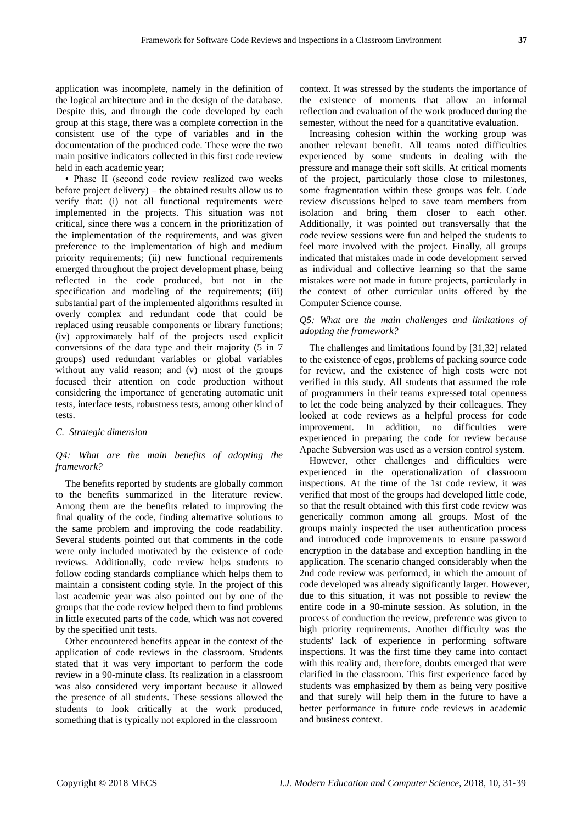application was incomplete, namely in the definition of the logical architecture and in the design of the database. Despite this, and through the code developed by each group at this stage, there was a complete correction in the consistent use of the type of variables and in the documentation of the produced code. These were the two main positive indicators collected in this first code review held in each academic year;

• Phase II (second code review realized two weeks before project delivery) – the obtained results allow us to verify that: (i) not all functional requirements were implemented in the projects. This situation was not critical, since there was a concern in the prioritization of the implementation of the requirements, and was given preference to the implementation of high and medium priority requirements; (ii) new functional requirements emerged throughout the project development phase, being reflected in the code produced, but not in the specification and modeling of the requirements; (iii) substantial part of the implemented algorithms resulted in overly complex and redundant code that could be replaced using reusable components or library functions; (iv) approximately half of the projects used explicit conversions of the data type and their majority (5 in 7 groups) used redundant variables or global variables without any valid reason; and (v) most of the groups focused their attention on code production without considering the importance of generating automatic unit tests, interface tests, robustness tests, among other kind of tests.

#### *C. Strategic dimension*

### *Q4: What are the main benefits of adopting the framework?*

The benefits reported by students are globally common to the benefits summarized in the literature review. Among them are the benefits related to improving the final quality of the code, finding alternative solutions to the same problem and improving the code readability. Several students pointed out that comments in the code were only included motivated by the existence of code reviews. Additionally, code review helps students to follow coding standards compliance which helps them to maintain a consistent coding style. In the project of this last academic year was also pointed out by one of the groups that the code review helped them to find problems in little executed parts of the code, which was not covered by the specified unit tests.

Other encountered benefits appear in the context of the application of code reviews in the classroom. Students stated that it was very important to perform the code review in a 90-minute class. Its realization in a classroom was also considered very important because it allowed the presence of all students. These sessions allowed the students to look critically at the work produced, something that is typically not explored in the classroom

context. It was stressed by the students the importance of the existence of moments that allow an informal reflection and evaluation of the work produced during the semester, without the need for a quantitative evaluation.

Increasing cohesion within the working group was another relevant benefit. All teams noted difficulties experienced by some students in dealing with the pressure and manage their soft skills. At critical moments of the project, particularly those close to milestones, some fragmentation within these groups was felt. Code review discussions helped to save team members from isolation and bring them closer to each other. Additionally, it was pointed out transversally that the code review sessions were fun and helped the students to feel more involved with the project. Finally, all groups indicated that mistakes made in code development served as individual and collective learning so that the same mistakes were not made in future projects, particularly in the context of other curricular units offered by the Computer Science course.

# *Q5: What are the main challenges and limitations of adopting the framework?*

The challenges and limitations found by [31,32] related to the existence of egos, problems of packing source code for review, and the existence of high costs were not verified in this study. All students that assumed the role of programmers in their teams expressed total openness to let the code being analyzed by their colleagues. They looked at code reviews as a helpful process for code improvement. In addition, no difficulties were experienced in preparing the code for review because Apache Subversion was used as a version control system.

However, other challenges and difficulties were experienced in the operationalization of classroom inspections. At the time of the 1st code review, it was verified that most of the groups had developed little code, so that the result obtained with this first code review was generically common among all groups. Most of the groups mainly inspected the user authentication process and introduced code improvements to ensure password encryption in the database and exception handling in the application. The scenario changed considerably when the 2nd code review was performed, in which the amount of code developed was already significantly larger. However, due to this situation, it was not possible to review the entire code in a 90-minute session. As solution, in the process of conduction the review, preference was given to high priority requirements. Another difficulty was the students' lack of experience in performing software inspections. It was the first time they came into contact with this reality and, therefore, doubts emerged that were clarified in the classroom. This first experience faced by students was emphasized by them as being very positive and that surely will help them in the future to have a better performance in future code reviews in academic and business context.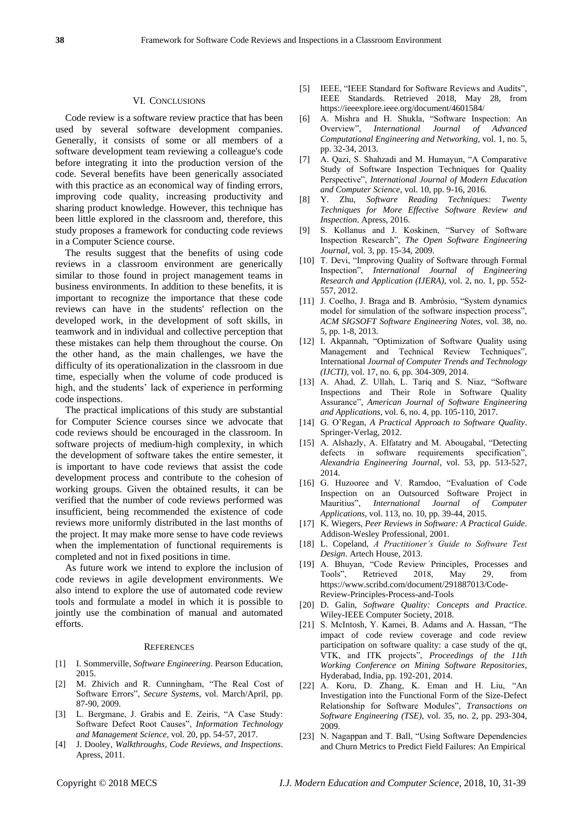#### VI. CONCLUSIONS

Code review is a software review practice that has been used by several software development companies. Generally, it consists of some or all members of a software development team reviewing a colleague's code before integrating it into the production version of the code. Several benefits have been generically associated with this practice as an economical way of finding errors, improving code quality, increasing productivity and sharing product knowledge. However, this technique has been little explored in the classroom and, therefore, this study proposes a framework for conducting code reviews in a Computer Science course.

The results suggest that the benefits of using code reviews in a classroom environment are generically similar to those found in project management teams in business environments. In addition to these benefits, it is important to recognize the importance that these code reviews can have in the students' reflection on the developed work, in the development of soft skills, in teamwork and in individual and collective perception that these mistakes can help them throughout the course. On the other hand, as the main challenges, we have the difficulty of its operationalization in the classroom in due time, especially when the volume of code produced is high, and the students' lack of experience in performing code inspections.

The practical implications of this study are substantial for Computer Science courses since we advocate that code reviews should be encouraged in the classroom. In software projects of medium-high complexity, in which the development of software takes the entire semester, it is important to have code reviews that assist the code development process and contribute to the cohesion of working groups. Given the obtained results, it can be verified that the number of code reviews performed was insufficient, being recommended the existence of code reviews more uniformly distributed in the last months of the project. It may make more sense to have code reviews when the implementation of functional requirements is completed and not in fixed positions in time.

As future work we intend to explore the inclusion of code reviews in agile development environments. We also intend to explore the use of automated code review tools and formulate a model in which it is possible to jointly use the combination of manual and automated efforts.

#### **REFERENCES**

- [1] I. Sommerville, *Software Engineering*. Pearson Education, 2015.
- [2] M. Zhivich and R. Cunningham, "The Real Cost of Software Errors", *Secure Systems*, vol. March/April, pp. 87-90, 2009.
- [3] L. Bergmane, J. Grabis and E. Zeiris, "A Case Study: Software Defect Root Causes", *Information Technology and Management Science*, vol. 20, pp. 54-57, 2017.
- [4] J. Dooley, *Walkthroughs, Code Reviews, and Inspections*. Apress, 2011.
- [5] IEEE, "IEEE Standard for Software Reviews and Audits", IEEE Standards. Retrieved 2018, May 28, from <https://ieeexplore.ieee.org/document/4601584/>
- [6] A. Mishra and H. Shukla, "Software Inspection: An Overview", *International Journal of Advanced Computational Engineering and Networking*, vol. 1, no. 5, pp. 32-34, 2013.
- [7] A. Qazi, S. Shahzadi and M. Humayun, "A Comparative Study of Software Inspection Techniques for Quality Perspective", *International Journal of Modern Education and Computer Science*, vol. 10, pp. 9-16, 2016.
- [8] Y. Zhu, *Software Reading Techniques: Twenty Techniques for More Effective Software Review and Inspection*. Apress, 2016.
- [9] S. Kollanus and J. Koskinen, "Survey of Software Inspection Research", *The Open Software Engineering Journal*, vol. 3, pp. 15-34, 2009.
- [10] T. Devi, "Improving Quality of Software through Formal Inspection", *International Journal of Engineering Research and Application (IJERA)*, vol. 2, no. 1, pp. 552- 557, 2012.
- [11] J. Coelho, J. Braga and B. Ambrósio, "System dynamics" model for simulation of the software inspection process", *ACM SIGSOFT Software Engineering Notes*, vol. 38, no. 5, pp. 1-8, 2013.
- [12] I. Akpannah, "Optimization of Software Quality using Management and Technical Review Techniques", International *Journal of Computer Trends and Technology (IJCTI)*, vol. 17, no. 6, pp. 304-309, 2014.
- [13] A. Ahad, Z. Ullah, L. Tariq and S. Niaz, "Software Inspections and Their Role in Software Quality Assurance", *American Journal of Software Engineering and Applications*, vol. 6, no. 4, pp. 105-110, 2017.
- [14] G. O'Regan, *A Practical Approach to Software Quality*. Springer-Verlag, 2012.
- [15] A. Alshazly, A. Elfatatry and M. Abougabal, "Detecting defects in software requirements specification", *Alexandria Engineering Journal*, vol. 53, pp. 513-527, 2014.
- [16] G. Huzooree and V. Ramdoo, "Evaluation of Code Inspection on an Outsourced Software Project in Mauritius", *International Journal of Computer Applications*, vol. 113, no. 10, pp. 39-44, 2015.
- [17] K. Wiegers, *Peer Reviews in Software: A Practical Guide*. Addison-Wesley Professional, 2001.
- [18] L. Copeland, *A Practitioner's Guide to Software Test Design*. Artech House, 2013.
- [19] A. Bhuyan, "Code Review Principles, Processes and Tools", Retrieved 2018, May 29, from [https://www.scribd.com/document/291887013/Code-](https://www.scribd.com/document/291887013/Code-Review-Principles-Process-and-Tools)[Review-Principles-Process-and-Tools](https://www.scribd.com/document/291887013/Code-Review-Principles-Process-and-Tools)
- [20] D. Galin, *Software Quality: Concepts and Practice*. Wiley-IEEE Computer Society, 2018.
- [21] S. McIntosh, Y. Kamei, B. Adams and A. Hassan, "The impact of code review coverage and code review participation on software quality: a case study of the qt, VTK, and ITK projects", *Proceedings of the 11th Working Conference on Mining Software Repositories*, Hyderabad, India, pp. 192-201, 2014.
- [22] A. Koru, D. Zhang, K. Eman and H. Liu, "An Investigation into the Functional Form of the Size-Defect Relationship for Software Modules", *Transactions on Software Engineering (TSE)*, vol. 35, no. 2, pp. 293-304, 2009.
- [23] N. Nagappan and T. Ball, "Using Software Dependencies and Churn Metrics to Predict Field Failures: An Empirical